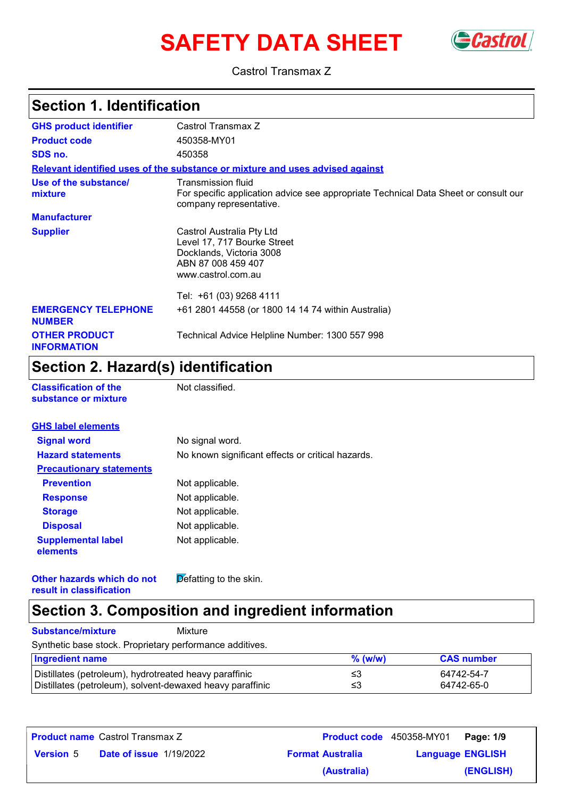# **SAFETY DATA SHEET** Gastrol



Castrol Transmax Z

## **Section 1. Identification**

| <b>GHS product identifier</b>               | Castrol Transmax Z                                                                                                                   |  |
|---------------------------------------------|--------------------------------------------------------------------------------------------------------------------------------------|--|
| <b>Product code</b>                         | 450358-MY01                                                                                                                          |  |
| SDS no.                                     | 450358                                                                                                                               |  |
|                                             | Relevant identified uses of the substance or mixture and uses advised against                                                        |  |
| Use of the substance/<br>mixture            | Transmission fluid<br>For specific application advice see appropriate Technical Data Sheet or consult our<br>company representative. |  |
| <b>Manufacturer</b>                         |                                                                                                                                      |  |
| <b>Supplier</b>                             | Castrol Australia Pty Ltd<br>Level 17, 717 Bourke Street<br>Docklands, Victoria 3008<br>ABN 87 008 459 407<br>www.castrol.com.au     |  |
|                                             | Tel: +61 (03) 9268 4111                                                                                                              |  |
| <b>EMERGENCY TELEPHONE</b><br><b>NUMBER</b> | +61 2801 44558 (or 1800 14 14 74 within Australia)                                                                                   |  |
| <b>OTHER PRODUCT</b><br><b>INFORMATION</b>  | Technical Advice Helpline Number: 1300 557 998                                                                                       |  |

# **Section 2. Hazard(s) identification**

**Classification of the Mot classified.** 

| substance or mixture |  |
|----------------------|--|
|                      |  |
|                      |  |

| <b>GHS label elements</b>             |                                                   |
|---------------------------------------|---------------------------------------------------|
| <b>Signal word</b>                    | No signal word.                                   |
| <b>Hazard statements</b>              | No known significant effects or critical hazards. |
| <b>Precautionary statements</b>       |                                                   |
| <b>Prevention</b>                     | Not applicable.                                   |
| <b>Response</b>                       | Not applicable.                                   |
| <b>Storage</b>                        | Not applicable.                                   |
| <b>Disposal</b>                       | Not applicable.                                   |
| <b>Supplemental label</b><br>elements | Not applicable.                                   |

**Other hazards which do not result in classification**

 $\overline{\mathsf{D}}$  efatting to the skin.

#### **Section 3. Composition and ingredient information**

**Substance/mixture** Mixture

Synthetic base stock. Proprietary performance additives.

| <b>Ingredient name</b>                                    | $%$ (w/w) | <b>CAS number</b> |
|-----------------------------------------------------------|-----------|-------------------|
| Distillates (petroleum), hydrotreated heavy paraffinic    | ≤3        | 64742-54-7        |
| Distillates (petroleum), solvent-dewaxed heavy paraffinic | ≤3        | 64742-65-0        |

| <b>Product name</b> Castrol Transmax Z |                                | <b>Product code</b> 450358-MY01 |                         | <b>Page: 1/9</b> |
|----------------------------------------|--------------------------------|---------------------------------|-------------------------|------------------|
| <b>Version 5</b>                       | <b>Date of issue 1/19/2022</b> | <b>Format Australia</b>         | <b>Language ENGLISH</b> |                  |
|                                        |                                | (Australia)                     |                         | (ENGLISH)        |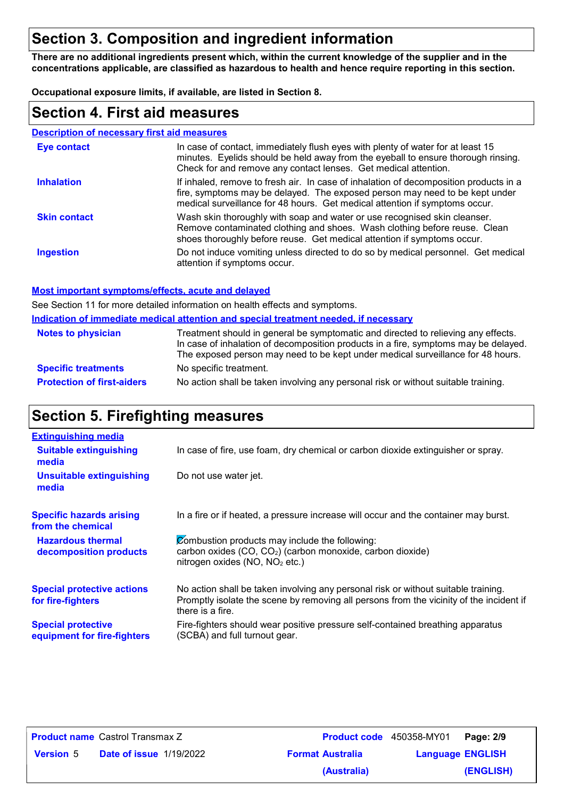## **Section 3. Composition and ingredient information**

**There are no additional ingredients present which, within the current knowledge of the supplier and in the concentrations applicable, are classified as hazardous to health and hence require reporting in this section.**

**Occupational exposure limits, if available, are listed in Section 8.**

#### **Section 4. First aid measures**

| <b>Description of necessary first aid measures</b> |                                                                                                                                                                                                                                                     |
|----------------------------------------------------|-----------------------------------------------------------------------------------------------------------------------------------------------------------------------------------------------------------------------------------------------------|
| <b>Eye contact</b>                                 | In case of contact, immediately flush eyes with plenty of water for at least 15<br>minutes. Eyelids should be held away from the eyeball to ensure thorough rinsing.<br>Check for and remove any contact lenses. Get medical attention.             |
| <b>Inhalation</b>                                  | If inhaled, remove to fresh air. In case of inhalation of decomposition products in a<br>fire, symptoms may be delayed. The exposed person may need to be kept under<br>medical surveillance for 48 hours. Get medical attention if symptoms occur. |
| <b>Skin contact</b>                                | Wash skin thoroughly with soap and water or use recognised skin cleanser.<br>Remove contaminated clothing and shoes. Wash clothing before reuse. Clean<br>shoes thoroughly before reuse. Get medical attention if symptoms occur.                   |
| <b>Ingestion</b>                                   | Do not induce vomiting unless directed to do so by medical personnel. Get medical<br>attention if symptoms occur.                                                                                                                                   |

#### **Most important symptoms/effects, acute and delayed**

**Indication of immediate medical attention and special treatment needed, if necessary** See Section 11 for more detailed information on health effects and symptoms.

| <u>Multanon of Millionale Medital alternon and special treatment needed, if necessary</u> |                                                                                                                                                                                                                                                             |  |
|-------------------------------------------------------------------------------------------|-------------------------------------------------------------------------------------------------------------------------------------------------------------------------------------------------------------------------------------------------------------|--|
| <b>Notes to physician</b>                                                                 | Treatment should in general be symptomatic and directed to relieving any effects.<br>In case of inhalation of decomposition products in a fire, symptoms may be delayed.<br>The exposed person may need to be kept under medical surveillance for 48 hours. |  |
| <b>Specific treatments</b>                                                                | No specific treatment.                                                                                                                                                                                                                                      |  |
| <b>Protection of first-aiders</b>                                                         | No action shall be taken involving any personal risk or without suitable training.                                                                                                                                                                          |  |

## **Section 5. Firefighting measures**

| <b>Extinguishing media</b>                               |                                                                                                                                                                                                   |
|----------------------------------------------------------|---------------------------------------------------------------------------------------------------------------------------------------------------------------------------------------------------|
| <b>Suitable extinguishing</b><br>media                   | In case of fire, use foam, dry chemical or carbon dioxide extinguisher or spray.                                                                                                                  |
| <b>Unsuitable extinguishing</b><br>media                 | Do not use water jet.                                                                                                                                                                             |
| <b>Specific hazards arising</b><br>from the chemical     | In a fire or if heated, a pressure increase will occur and the container may burst.                                                                                                               |
| <b>Hazardous thermal</b><br>decomposition products       | Combustion products may include the following:<br>carbon oxides (CO, CO <sub>2</sub> ) (carbon monoxide, carbon dioxide)<br>nitrogen oxides (NO, NO <sub>2</sub> etc.)                            |
| <b>Special protective actions</b><br>for fire-fighters   | No action shall be taken involving any personal risk or without suitable training.<br>Promptly isolate the scene by removing all persons from the vicinity of the incident if<br>there is a fire. |
| <b>Special protective</b><br>equipment for fire-fighters | Fire-fighters should wear positive pressure self-contained breathing apparatus<br>(SCBA) and full turnout gear.                                                                                   |

|                  | <b>Product name</b> Castrol Transmax Z |                         | Product code 450358-MY01 | Page: 2/9 |
|------------------|----------------------------------------|-------------------------|--------------------------|-----------|
| <b>Version 5</b> | <b>Date of issue 1/19/2022</b>         | <b>Format Australia</b> | <b>Language ENGLISH</b>  |           |
|                  |                                        | (Australia)             |                          | (ENGLISH) |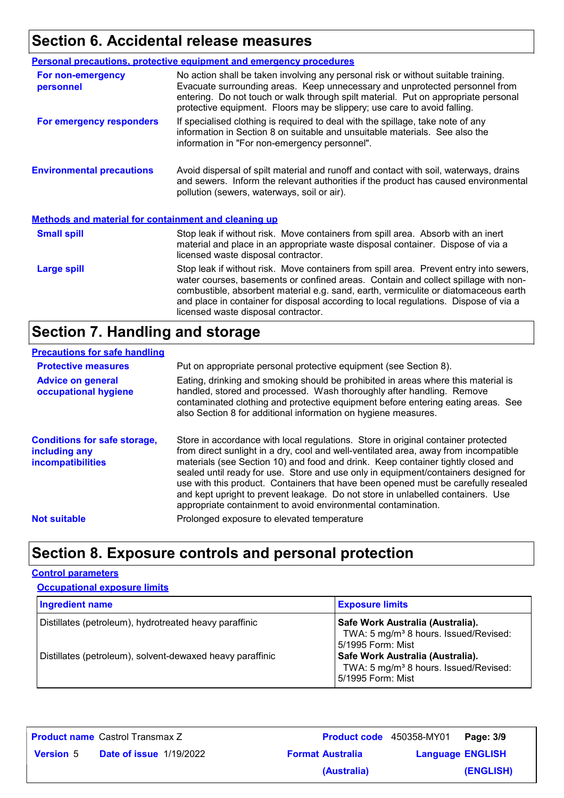# **Section 6. Accidental release measures**

|                                                             | <b>Personal precautions, protective equipment and emergency procedures</b>                                                                                                                                                                                                                                                                                                                         |  |
|-------------------------------------------------------------|----------------------------------------------------------------------------------------------------------------------------------------------------------------------------------------------------------------------------------------------------------------------------------------------------------------------------------------------------------------------------------------------------|--|
| For non-emergency<br>personnel                              | No action shall be taken involving any personal risk or without suitable training.<br>Evacuate surrounding areas. Keep unnecessary and unprotected personnel from<br>entering. Do not touch or walk through spilt material. Put on appropriate personal<br>protective equipment. Floors may be slippery; use care to avoid falling.                                                                |  |
| For emergency responders                                    | If specialised clothing is required to deal with the spillage, take note of any<br>information in Section 8 on suitable and unsuitable materials. See also the<br>information in "For non-emergency personnel".                                                                                                                                                                                    |  |
| <b>Environmental precautions</b>                            | Avoid dispersal of spilt material and runoff and contact with soil, waterways, drains<br>and sewers. Inform the relevant authorities if the product has caused environmental<br>pollution (sewers, waterways, soil or air).                                                                                                                                                                        |  |
| <b>Methods and material for containment and cleaning up</b> |                                                                                                                                                                                                                                                                                                                                                                                                    |  |
| <b>Small spill</b>                                          | Stop leak if without risk. Move containers from spill area. Absorb with an inert<br>material and place in an appropriate waste disposal container. Dispose of via a<br>licensed waste disposal contractor.                                                                                                                                                                                         |  |
| <b>Large spill</b>                                          | Stop leak if without risk. Move containers from spill area. Prevent entry into sewers,<br>water courses, basements or confined areas. Contain and collect spillage with non-<br>combustible, absorbent material e.g. sand, earth, vermiculite or diatomaceous earth<br>and place in container for disposal according to local regulations. Dispose of via a<br>licensed waste disposal contractor. |  |

## **Section 7. Handling and storage**

#### **Precautions for safe handling**

| <b>Protective measures</b>                                                       | Put on appropriate personal protective equipment (see Section 8).                                                                                                                                                                                                                                                                                                                                                                                                                                                                                                                              |
|----------------------------------------------------------------------------------|------------------------------------------------------------------------------------------------------------------------------------------------------------------------------------------------------------------------------------------------------------------------------------------------------------------------------------------------------------------------------------------------------------------------------------------------------------------------------------------------------------------------------------------------------------------------------------------------|
| <b>Advice on general</b><br>occupational hygiene                                 | Eating, drinking and smoking should be prohibited in areas where this material is<br>handled, stored and processed. Wash thoroughly after handling. Remove<br>contaminated clothing and protective equipment before entering eating areas. See<br>also Section 8 for additional information on hygiene measures.                                                                                                                                                                                                                                                                               |
| <b>Conditions for safe storage,</b><br>including any<br><b>incompatibilities</b> | Store in accordance with local regulations. Store in original container protected<br>from direct sunlight in a dry, cool and well-ventilated area, away from incompatible<br>materials (see Section 10) and food and drink. Keep container tightly closed and<br>sealed until ready for use. Store and use only in equipment/containers designed for<br>use with this product. Containers that have been opened must be carefully resealed<br>and kept upright to prevent leakage. Do not store in unlabelled containers. Use<br>appropriate containment to avoid environmental contamination. |
| <b>Not suitable</b>                                                              | Prolonged exposure to elevated temperature                                                                                                                                                                                                                                                                                                                                                                                                                                                                                                                                                     |
|                                                                                  |                                                                                                                                                                                                                                                                                                                                                                                                                                                                                                                                                                                                |

# **Section 8. Exposure controls and personal protection**

#### **Control parameters**

| <b>Occupational exposure limits</b>                       |                                                                                                            |  |  |
|-----------------------------------------------------------|------------------------------------------------------------------------------------------------------------|--|--|
| <b>Ingredient name</b>                                    | <b>Exposure limits</b>                                                                                     |  |  |
| Distillates (petroleum), hydrotreated heavy paraffinic    | Safe Work Australia (Australia).<br>TWA: 5 mg/m <sup>3</sup> 8 hours. Issued/Revised:<br>5/1995 Form: Mist |  |  |
| Distillates (petroleum), solvent-dewaxed heavy paraffinic | Safe Work Australia (Australia).<br>TWA: 5 mg/m <sup>3</sup> 8 hours. Issued/Revised:<br>5/1995 Form: Mist |  |  |

| <b>Product name</b> Castrol Transmax Z |                                |                         | <b>Product code</b> 450358-MY01   Page: 3/9 |           |
|----------------------------------------|--------------------------------|-------------------------|---------------------------------------------|-----------|
| <b>Version 5</b>                       | <b>Date of issue 1/19/2022</b> | <b>Format Australia</b> | <b>Language ENGLISH</b>                     |           |
|                                        |                                | (Australia)             |                                             | (ENGLISH) |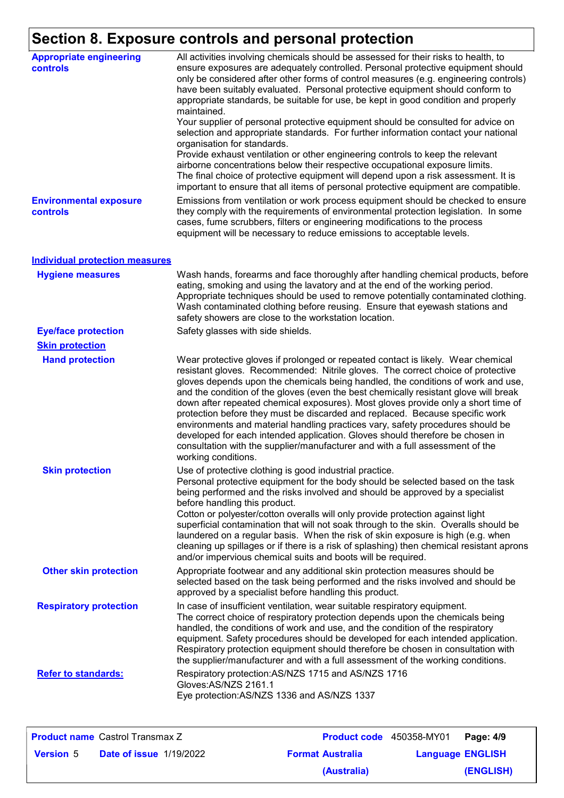# **Section 8. Exposure controls and personal protection**

| <b>Appropriate engineering</b><br>controls | All activities involving chemicals should be assessed for their risks to health, to<br>ensure exposures are adequately controlled. Personal protective equipment should<br>only be considered after other forms of control measures (e.g. engineering controls)<br>have been suitably evaluated. Personal protective equipment should conform to<br>appropriate standards, be suitable for use, be kept in good condition and properly<br>maintained.<br>Your supplier of personal protective equipment should be consulted for advice on<br>selection and appropriate standards. For further information contact your national<br>organisation for standards.<br>Provide exhaust ventilation or other engineering controls to keep the relevant<br>airborne concentrations below their respective occupational exposure limits.<br>The final choice of protective equipment will depend upon a risk assessment. It is<br>important to ensure that all items of personal protective equipment are compatible. |
|--------------------------------------------|---------------------------------------------------------------------------------------------------------------------------------------------------------------------------------------------------------------------------------------------------------------------------------------------------------------------------------------------------------------------------------------------------------------------------------------------------------------------------------------------------------------------------------------------------------------------------------------------------------------------------------------------------------------------------------------------------------------------------------------------------------------------------------------------------------------------------------------------------------------------------------------------------------------------------------------------------------------------------------------------------------------|
| <b>Environmental exposure</b><br>controls  | Emissions from ventilation or work process equipment should be checked to ensure<br>they comply with the requirements of environmental protection legislation. In some<br>cases, fume scrubbers, filters or engineering modifications to the process<br>equipment will be necessary to reduce emissions to acceptable levels.                                                                                                                                                                                                                                                                                                                                                                                                                                                                                                                                                                                                                                                                                 |
| <b>Individual protection measures</b>      |                                                                                                                                                                                                                                                                                                                                                                                                                                                                                                                                                                                                                                                                                                                                                                                                                                                                                                                                                                                                               |
| <b>Hygiene measures</b>                    | Wash hands, forearms and face thoroughly after handling chemical products, before<br>eating, smoking and using the lavatory and at the end of the working period.<br>Appropriate techniques should be used to remove potentially contaminated clothing.<br>Wash contaminated clothing before reusing. Ensure that eyewash stations and<br>safety showers are close to the workstation location.                                                                                                                                                                                                                                                                                                                                                                                                                                                                                                                                                                                                               |
| <b>Eye/face protection</b>                 | Safety glasses with side shields.                                                                                                                                                                                                                                                                                                                                                                                                                                                                                                                                                                                                                                                                                                                                                                                                                                                                                                                                                                             |
| <b>Skin protection</b>                     |                                                                                                                                                                                                                                                                                                                                                                                                                                                                                                                                                                                                                                                                                                                                                                                                                                                                                                                                                                                                               |
| <b>Hand protection</b>                     | Wear protective gloves if prolonged or repeated contact is likely. Wear chemical<br>resistant gloves. Recommended: Nitrile gloves. The correct choice of protective<br>gloves depends upon the chemicals being handled, the conditions of work and use,<br>and the condition of the gloves (even the best chemically resistant glove will break<br>down after repeated chemical exposures). Most gloves provide only a short time of<br>protection before they must be discarded and replaced. Because specific work<br>environments and material handling practices vary, safety procedures should be<br>developed for each intended application. Gloves should therefore be chosen in<br>consultation with the supplier/manufacturer and with a full assessment of the<br>working conditions.                                                                                                                                                                                                               |
| <b>Skin protection</b>                     | Use of protective clothing is good industrial practice.<br>Personal protective equipment for the body should be selected based on the task<br>being performed and the risks involved and should be approved by a specialist<br>before handling this product.<br>Cotton or polyester/cotton overalls will only provide protection against light<br>superficial contamination that will not soak through to the skin. Overalls should be<br>laundered on a regular basis. When the risk of skin exposure is high (e.g. when<br>cleaning up spillages or if there is a risk of splashing) then chemical resistant aprons<br>and/or impervious chemical suits and boots will be required.                                                                                                                                                                                                                                                                                                                         |
| <b>Other skin protection</b>               | Appropriate footwear and any additional skin protection measures should be<br>selected based on the task being performed and the risks involved and should be<br>approved by a specialist before handling this product.                                                                                                                                                                                                                                                                                                                                                                                                                                                                                                                                                                                                                                                                                                                                                                                       |
| <b>Respiratory protection</b>              | In case of insufficient ventilation, wear suitable respiratory equipment.<br>The correct choice of respiratory protection depends upon the chemicals being<br>handled, the conditions of work and use, and the condition of the respiratory<br>equipment. Safety procedures should be developed for each intended application.<br>Respiratory protection equipment should therefore be chosen in consultation with<br>the supplier/manufacturer and with a full assessment of the working conditions.                                                                                                                                                                                                                                                                                                                                                                                                                                                                                                         |
| <b>Refer to standards:</b>                 | Respiratory protection: AS/NZS 1715 and AS/NZS 1716<br>Gloves:AS/NZS 2161.1<br>Eye protection: AS/NZS 1336 and AS/NZS 1337                                                                                                                                                                                                                                                                                                                                                                                                                                                                                                                                                                                                                                                                                                                                                                                                                                                                                    |

|                  | <b>Product name</b> Castrol Transmax Z | <b>Product code</b> 450358-MY01 |                         | Page: 4/9 |
|------------------|----------------------------------------|---------------------------------|-------------------------|-----------|
| <b>Version</b> 5 | <b>Date of issue 1/19/2022</b>         | <b>Format Australia</b>         | <b>Language ENGLISH</b> |           |
|                  |                                        | (Australia)                     |                         | (ENGLISH) |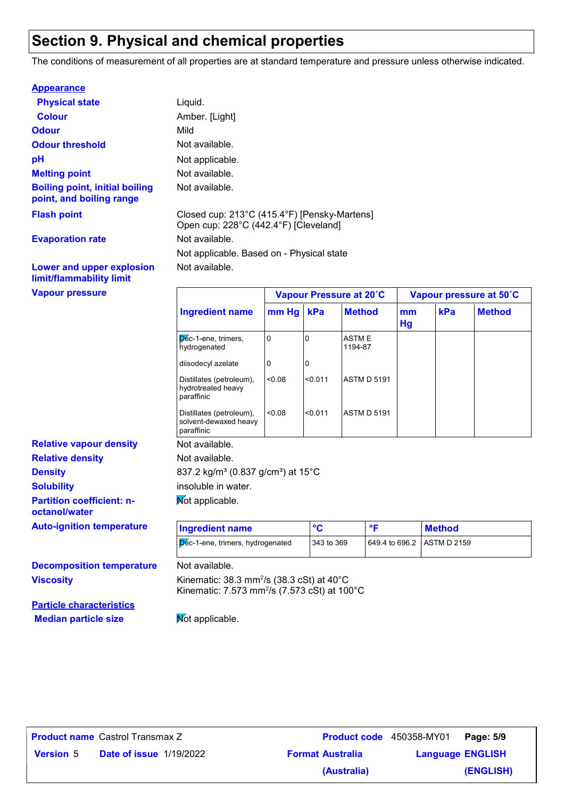## **Section 9. Physical and chemical properties**

The conditions of measurement of all properties are at standard temperature and pressure unless otherwise indicated.

| <b>Appearance</b>                                                 |                                                                                       |
|-------------------------------------------------------------------|---------------------------------------------------------------------------------------|
| <b>Physical state</b>                                             | Liquid.                                                                               |
| <b>Colour</b>                                                     | Amber. [Light]                                                                        |
| <b>Odour</b>                                                      | Mild                                                                                  |
| <b>Odour threshold</b>                                            | Not available.                                                                        |
| рH                                                                | Not applicable.                                                                       |
| <b>Melting point</b>                                              | Not available.                                                                        |
| <b>Boiling point, initial boiling</b><br>point, and boiling range | Not available.                                                                        |
| <b>Flash point</b>                                                | Closed cup: 213°C (415.4°F) [Pensky-Martens]<br>Open cup: 228°C (442.4°F) [Cleveland] |
| <b>Evaporation rate</b>                                           | Not available.                                                                        |
|                                                                   | Not applicable. Based on - Physical state                                             |
| Lower and upper explosion                                         | Not available.                                                                        |

#### **Lower and upper explosion limit/flammability limit**

| <b>Vapour pressure</b>                            |                                                                                                                                             |         | Vapour Pressure at 20°C |                         |                | Vapour pressure at 50°C |               |  |
|---------------------------------------------------|---------------------------------------------------------------------------------------------------------------------------------------------|---------|-------------------------|-------------------------|----------------|-------------------------|---------------|--|
|                                                   | <b>Ingredient name</b>                                                                                                                      | $mm$ Hg | kPa                     | <b>Method</b>           | mm<br>Hg       | kPa                     | <b>Method</b> |  |
|                                                   | Dec-1-ene, trimers,<br>hydrogenated                                                                                                         | 0       | $\overline{0}$          | <b>ASTME</b><br>1194-87 |                |                         |               |  |
|                                                   | diisodecyl azelate                                                                                                                          | 0       | 10                      |                         |                |                         |               |  |
|                                                   | Distillates (petroleum),<br>hydrotreated heavy<br>paraffinic                                                                                | < 0.08  | < 0.011                 | <b>ASTM D 5191</b>      |                |                         |               |  |
|                                                   | Distillates (petroleum),<br>solvent-dewaxed heavy<br>paraffinic                                                                             | < 0.08  | < 0.011                 | <b>ASTM D 5191</b>      |                |                         |               |  |
| <b>Relative vapour density</b>                    | Not available.                                                                                                                              |         |                         |                         |                |                         |               |  |
| <b>Relative density</b>                           | Not available.                                                                                                                              |         |                         |                         |                |                         |               |  |
| <b>Density</b>                                    | 837.2 kg/m <sup>3</sup> (0.837 g/cm <sup>3</sup> ) at 15 <sup>°</sup> C                                                                     |         |                         |                         |                |                         |               |  |
| <b>Solubility</b>                                 | insoluble in water.                                                                                                                         |         |                         |                         |                |                         |               |  |
| <b>Partition coefficient: n-</b><br>octanol/water | Mot applicable.                                                                                                                             |         |                         |                         |                |                         |               |  |
| <b>Auto-ignition temperature</b>                  | <b>Ingredient name</b>                                                                                                                      |         | $\circ$ <sub>C</sub>    | $\mathsf{P}$            |                | <b>Method</b>           |               |  |
|                                                   | Dec-1-ene, trimers, hydrogenated                                                                                                            |         | 343 to 369              |                         | 649.4 to 696.2 | <b>ASTM D 2159</b>      |               |  |
| <b>Decomposition temperature</b>                  | Not available.                                                                                                                              |         |                         |                         |                |                         |               |  |
| <b>Viscosity</b>                                  | Kinematic: $38.3$ mm <sup>2</sup> /s ( $38.3$ cSt) at $40^{\circ}$ C<br>Kinematic: 7.573 mm <sup>2</sup> /s (7.573 cSt) at 100 $^{\circ}$ C |         |                         |                         |                |                         |               |  |
| <b>Particle characteristics</b>                   |                                                                                                                                             |         |                         |                         |                |                         |               |  |

**Median particle size** Mot applicable. **Particle chara** 

| <b>Product name</b> Castrol Transmax Z |                                |  |
|----------------------------------------|--------------------------------|--|
| <b>Version</b> 5                       | <b>Date of issue 1/19/2022</b> |  |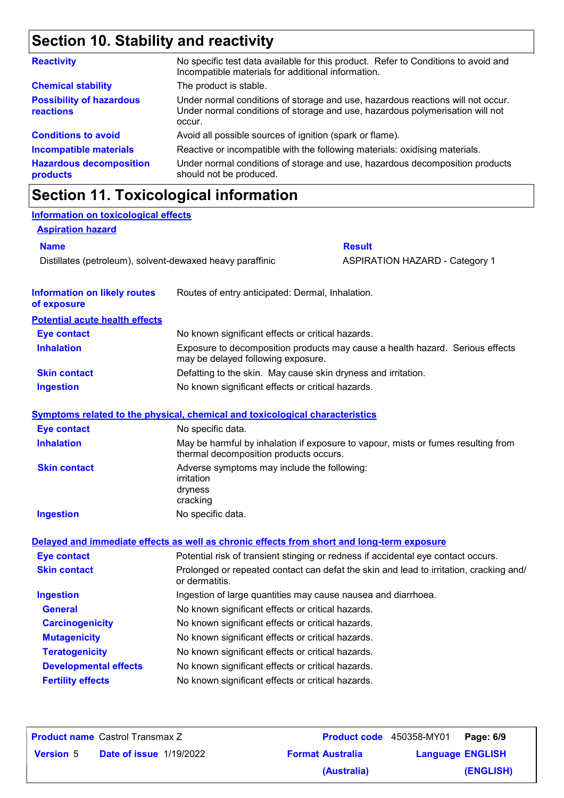# **Section 10. Stability and reactivity**

| <b>Reactivity</b>                            | No specific test data available for this product. Refer to Conditions to avoid and<br>Incompatible materials for additional information.                                   |
|----------------------------------------------|----------------------------------------------------------------------------------------------------------------------------------------------------------------------------|
| <b>Chemical stability</b>                    | The product is stable.                                                                                                                                                     |
| <b>Possibility of hazardous</b><br>reactions | Under normal conditions of storage and use, hazardous reactions will not occur.<br>Under normal conditions of storage and use, hazardous polymerisation will not<br>occur. |
| <b>Conditions to avoid</b>                   | Avoid all possible sources of ignition (spark or flame).                                                                                                                   |
| <b>Incompatible materials</b>                | Reactive or incompatible with the following materials: oxidising materials.                                                                                                |
| <b>Hazardous decomposition</b><br>products   | Under normal conditions of storage and use, hazardous decomposition products<br>should not be produced.                                                                    |

|                                                           | <b>Section 11. Toxicological information</b>                                               |                                                                                        |
|-----------------------------------------------------------|--------------------------------------------------------------------------------------------|----------------------------------------------------------------------------------------|
| <b>Information on toxicological effects</b>               |                                                                                            |                                                                                        |
| <b>Aspiration hazard</b>                                  |                                                                                            |                                                                                        |
| <b>Name</b>                                               |                                                                                            | <b>Result</b>                                                                          |
| Distillates (petroleum), solvent-dewaxed heavy paraffinic |                                                                                            | <b>ASPIRATION HAZARD - Category 1</b>                                                  |
| <b>Information on likely routes</b><br>of exposure        | Routes of entry anticipated: Dermal, Inhalation.                                           |                                                                                        |
| <b>Potential acute health effects</b>                     |                                                                                            |                                                                                        |
| <b>Eye contact</b>                                        | No known significant effects or critical hazards.                                          |                                                                                        |
| <b>Inhalation</b>                                         | may be delayed following exposure.                                                         | Exposure to decomposition products may cause a health hazard. Serious effects          |
| <b>Skin contact</b>                                       | Defatting to the skin. May cause skin dryness and irritation.                              |                                                                                        |
| <b>Ingestion</b>                                          | No known significant effects or critical hazards.                                          |                                                                                        |
|                                                           | <b>Symptoms related to the physical, chemical and toxicological characteristics</b>        |                                                                                        |
| <b>Eye contact</b>                                        | No specific data.                                                                          |                                                                                        |
| <b>Inhalation</b>                                         | thermal decomposition products occurs.                                                     | May be harmful by inhalation if exposure to vapour, mists or fumes resulting from      |
| <b>Skin contact</b>                                       | Adverse symptoms may include the following:<br>irritation<br>dryness<br>cracking           |                                                                                        |
| <b>Ingestion</b>                                          | No specific data.                                                                          |                                                                                        |
|                                                           | Delayed and immediate effects as well as chronic effects from short and long-term exposure |                                                                                        |
| <b>Eye contact</b>                                        |                                                                                            | Potential risk of transient stinging or redness if accidental eye contact occurs.      |
| <b>Skin contact</b>                                       | or dermatitis.                                                                             | Prolonged or repeated contact can defat the skin and lead to irritation, cracking and/ |
| <b>Ingestion</b>                                          | Ingestion of large quantities may cause nausea and diarrhoea.                              |                                                                                        |
| <b>General</b>                                            | No known significant effects or critical hazards.                                          |                                                                                        |
| <b>Carcinogenicity</b>                                    | No known significant effects or critical hazards.                                          |                                                                                        |
| <b>Mutagenicity</b>                                       | No known significant effects or critical hazards.                                          |                                                                                        |
| <b>Teratogenicity</b>                                     | No known significant effects or critical hazards.                                          |                                                                                        |
| <b>Developmental effects</b>                              | No known significant effects or critical hazards.                                          |                                                                                        |
| <b>Fertility effects</b>                                  | No known significant effects or critical hazards.                                          |                                                                                        |
|                                                           |                                                                                            |                                                                                        |

| <b>Product name</b> Castrol Transmax Z |                                |                         | <b>Product code</b> 450358-MY01 <b>Page: 6/9</b> |           |
|----------------------------------------|--------------------------------|-------------------------|--------------------------------------------------|-----------|
| <b>Version 5</b>                       | <b>Date of issue 1/19/2022</b> | <b>Format Australia</b> | <b>Language ENGLISH</b>                          |           |
|                                        |                                | (Australia)             |                                                  | (ENGLISH) |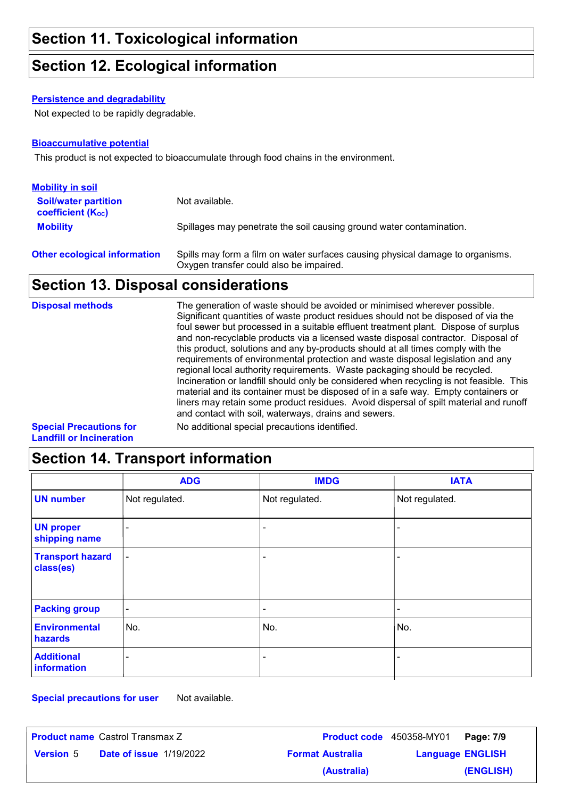#### **Section 12. Ecological information**

#### **Persistence and degradability**

Not expected to be rapidly degradable.

#### **Bioaccumulative potential**

This product is not expected to bioaccumulate through food chains in the environment.

| <b>Mobility in soil</b>                                 |                                                                                                                           |
|---------------------------------------------------------|---------------------------------------------------------------------------------------------------------------------------|
| <b>Soil/water partition</b><br><b>coefficient (Koc)</b> | Not available.                                                                                                            |
| <b>Mobility</b>                                         | Spillages may penetrate the soil causing ground water contamination.                                                      |
| <b>Other ecological information</b>                     | Spills may form a film on water surfaces causing physical damage to organisms.<br>Oxygen transfer could also be impaired. |

# **Section 13. Disposal considerations**

| <b>Disposal methods</b>        | The generation of waste should be avoided or minimised wherever possible.<br>Significant quantities of waste product residues should not be disposed of via the<br>foul sewer but processed in a suitable effluent treatment plant. Dispose of surplus<br>and non-recyclable products via a licensed waste disposal contractor. Disposal of<br>this product, solutions and any by-products should at all times comply with the<br>requirements of environmental protection and waste disposal legislation and any<br>regional local authority requirements. Waste packaging should be recycled.<br>Incineration or landfill should only be considered when recycling is not feasible. This<br>material and its container must be disposed of in a safe way. Empty containers or<br>liners may retain some product residues. Avoid dispersal of spilt material and runoff<br>and contact with soil, waterways, drains and sewers. |
|--------------------------------|----------------------------------------------------------------------------------------------------------------------------------------------------------------------------------------------------------------------------------------------------------------------------------------------------------------------------------------------------------------------------------------------------------------------------------------------------------------------------------------------------------------------------------------------------------------------------------------------------------------------------------------------------------------------------------------------------------------------------------------------------------------------------------------------------------------------------------------------------------------------------------------------------------------------------------|
| <b>Special Precautions for</b> | No additional special precautions identified.                                                                                                                                                                                                                                                                                                                                                                                                                                                                                                                                                                                                                                                                                                                                                                                                                                                                                    |

**Landfill or Incineration**

# **Section 14. Transport information**

|                                      | <b>ADG</b>     | <b>IMDG</b>    | <b>IATA</b>    |
|--------------------------------------|----------------|----------------|----------------|
| <b>UN number</b>                     | Not regulated. | Not regulated. | Not regulated. |
| <b>UN proper</b><br>shipping name    | $\blacksquare$ |                |                |
| <b>Transport hazard</b><br>class(es) | $\blacksquare$ | $\blacksquare$ | $\overline{a}$ |
| <b>Packing group</b>                 | $\blacksquare$ | $\blacksquare$ | $\overline{a}$ |
| <b>Environmental</b><br>hazards      | No.            | No.            | No.            |
| <b>Additional</b><br>information     | ۰              | -              | -              |

**Special precautions for user** Not available.

| <b>Product name Castrol Transmax Z</b> |                                |                         | <b>Product code</b> 450358-MY01 <b>Page: 7/9</b> |           |
|----------------------------------------|--------------------------------|-------------------------|--------------------------------------------------|-----------|
| <b>Version 5</b>                       | <b>Date of issue 1/19/2022</b> | <b>Format Australia</b> | <b>Language ENGLISH</b>                          |           |
|                                        |                                | (Australia)             |                                                  | (ENGLISH) |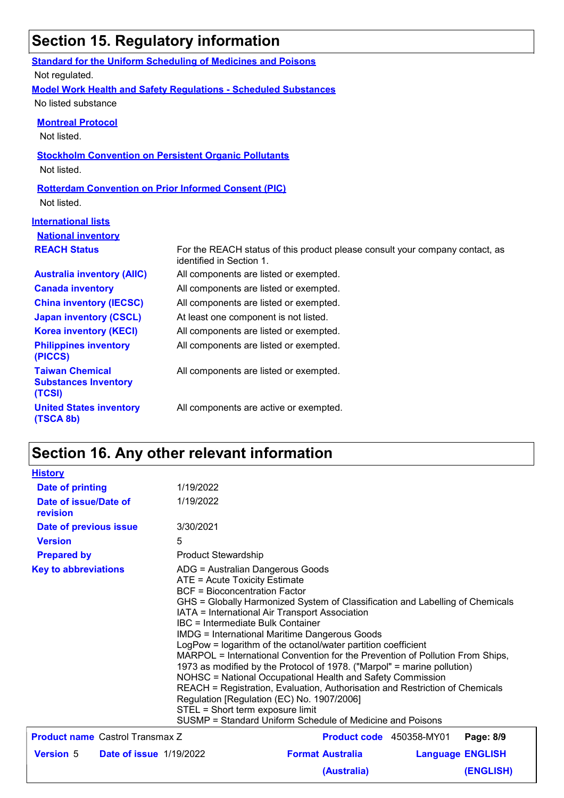# **Section 15. Regulatory information**

|                                                             | <b>Standard for the Uniform Scheduling of Medicines and Poisons</b>                                      |  |  |  |  |
|-------------------------------------------------------------|----------------------------------------------------------------------------------------------------------|--|--|--|--|
| Not regulated.                                              |                                                                                                          |  |  |  |  |
|                                                             | <b>Model Work Health and Safety Requiations - Scheduled Substances</b>                                   |  |  |  |  |
| No listed substance                                         |                                                                                                          |  |  |  |  |
| <b>Montreal Protocol</b>                                    |                                                                                                          |  |  |  |  |
| Not listed.                                                 |                                                                                                          |  |  |  |  |
|                                                             |                                                                                                          |  |  |  |  |
|                                                             | <b>Stockholm Convention on Persistent Organic Pollutants</b>                                             |  |  |  |  |
| Not listed.                                                 |                                                                                                          |  |  |  |  |
| <b>Rotterdam Convention on Prior Informed Consent (PIC)</b> |                                                                                                          |  |  |  |  |
| Not listed.                                                 |                                                                                                          |  |  |  |  |
| <b>International lists</b>                                  |                                                                                                          |  |  |  |  |
| <b>National inventory</b>                                   |                                                                                                          |  |  |  |  |
|                                                             |                                                                                                          |  |  |  |  |
| <b>REACH Status</b>                                         | For the REACH status of this product please consult your company contact, as<br>identified in Section 1. |  |  |  |  |
| <b>Australia inventory (AIIC)</b>                           | All components are listed or exempted.                                                                   |  |  |  |  |
| <b>Canada inventory</b>                                     | All components are listed or exempted.                                                                   |  |  |  |  |
| <b>China inventory (IECSC)</b>                              | All components are listed or exempted.                                                                   |  |  |  |  |
| <b>Japan inventory (CSCL)</b>                               | At least one component is not listed.                                                                    |  |  |  |  |
| <b>Korea inventory (KECI)</b>                               | All components are listed or exempted.                                                                   |  |  |  |  |
| <b>Philippines inventory</b><br>(PICCS)                     | All components are listed or exempted.                                                                   |  |  |  |  |
| <b>Taiwan Chemical</b>                                      |                                                                                                          |  |  |  |  |
| <b>Substances Inventory</b>                                 | All components are listed or exempted.                                                                   |  |  |  |  |
| (TCSI)                                                      |                                                                                                          |  |  |  |  |
| <b>United States inventory</b>                              | All components are active or exempted.                                                                   |  |  |  |  |
| (TSCA 8b)                                                   |                                                                                                          |  |  |  |  |

# **Section 16. Any other relevant information**

| 1/19/2022<br><b>Date of printing</b><br>1/19/2022<br>Date of issue/Date of                                                                                                                                                                                                                                                                                                                                                                                                                                                                                                                                   |                                                                                                                                                                                                                                                                                    |  |  |
|--------------------------------------------------------------------------------------------------------------------------------------------------------------------------------------------------------------------------------------------------------------------------------------------------------------------------------------------------------------------------------------------------------------------------------------------------------------------------------------------------------------------------------------------------------------------------------------------------------------|------------------------------------------------------------------------------------------------------------------------------------------------------------------------------------------------------------------------------------------------------------------------------------|--|--|
|                                                                                                                                                                                                                                                                                                                                                                                                                                                                                                                                                                                                              |                                                                                                                                                                                                                                                                                    |  |  |
| revision                                                                                                                                                                                                                                                                                                                                                                                                                                                                                                                                                                                                     |                                                                                                                                                                                                                                                                                    |  |  |
| 3/30/2021<br>Date of previous issue                                                                                                                                                                                                                                                                                                                                                                                                                                                                                                                                                                          |                                                                                                                                                                                                                                                                                    |  |  |
| <b>Version</b><br>5                                                                                                                                                                                                                                                                                                                                                                                                                                                                                                                                                                                          |                                                                                                                                                                                                                                                                                    |  |  |
| <b>Product Stewardship</b><br><b>Prepared by</b>                                                                                                                                                                                                                                                                                                                                                                                                                                                                                                                                                             |                                                                                                                                                                                                                                                                                    |  |  |
| <b>Key to abbreviations</b><br>ATE = Acute Toxicity Estimate<br><b>BCF</b> = Bioconcentration Factor<br>IATA = International Air Transport Association<br>IBC = Intermediate Bulk Container<br><b>IMDG = International Maritime Dangerous Goods</b><br>LogPow = logarithm of the octanol/water partition coefficient<br>1973 as modified by the Protocol of 1978. ("Marpol" = marine pollution)<br>NOHSC = National Occupational Health and Safety Commission<br>Regulation [Regulation (EC) No. 1907/2006]<br>STEL = Short term exposure limit<br>SUSMP = Standard Uniform Schedule of Medicine and Poisons | ADG = Australian Dangerous Goods<br>GHS = Globally Harmonized System of Classification and Labelling of Chemicals<br>MARPOL = International Convention for the Prevention of Pollution From Ships,<br>REACH = Registration, Evaluation, Authorisation and Restriction of Chemicals |  |  |
|                                                                                                                                                                                                                                                                                                                                                                                                                                                                                                                                                                                                              |                                                                                                                                                                                                                                                                                    |  |  |
| <b>Product name</b> Castrol Transmax Z<br><b>Product code</b> 450358-MY01<br>Page: 8/9                                                                                                                                                                                                                                                                                                                                                                                                                                                                                                                       |                                                                                                                                                                                                                                                                                    |  |  |
| <b>Version 5</b><br><b>Format Australia</b><br><b>Date of issue 1/19/2022</b><br><b>Language ENGLISH</b>                                                                                                                                                                                                                                                                                                                                                                                                                                                                                                     |                                                                                                                                                                                                                                                                                    |  |  |